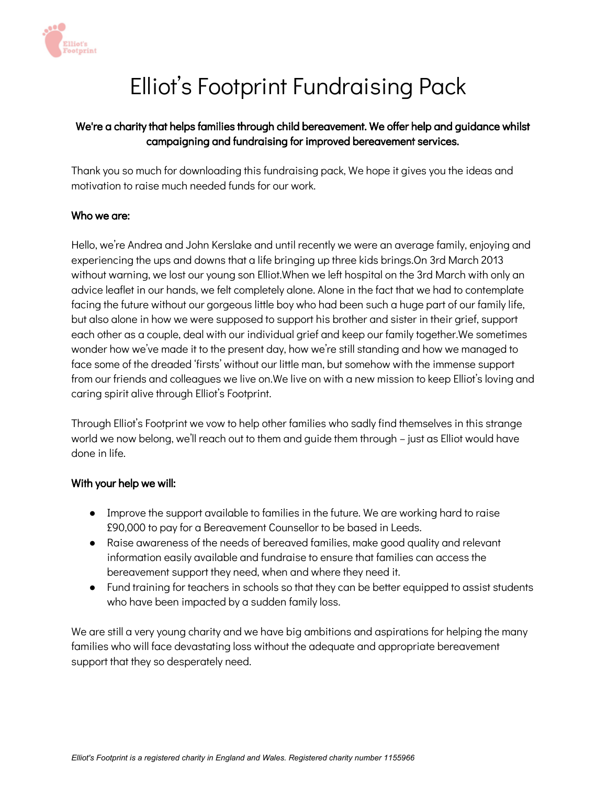

# Elliot's Footprint Fundraising Pack

## We're a charity that helps families through child bereavement. We offer help and guidance whilst campaigning and fundraising for improved bereavement services.

Thank you so much for downloading this fundraising pack, We hope it gives you the ideas and motivation to raise much needed funds for our work.

## Who we are:

Hello, we're Andrea and John Kerslake and until recently we were an average family, enjoying and experiencing the ups and downs that a life bringing up three kids brings.On 3rd March 2013 without warning, we lost our young son Elliot.When we left hospital on the 3rd March with only an advice leaflet in our hands, we felt completely alone. Alone in the fact that we had to contemplate facing the future without our gorgeous little boy who had been such a huge part of our family life, but also alone in how we were supposed to support his brother and sister in their grief, support each other as a couple, deal with our individual grief and keep our family together.We sometimes wonder how we've made it to the present day, how we're still standing and how we managed to face some of the dreaded 'firsts' without our little man, but somehow with the immense support from our friends and colleagues we live on.We live on with a new mission to keep Elliot's loving and caring spirit alive through Elliot's Footprint.

Through Elliot's Footprint we vow to help other families who sadly find themselves in this strange world we now belong, we'll reach out to them and guide them through – just as Elliot would have done in life.

#### With your help we will:

- Improve the support available to families in the future. We are working hard to raise £90,000 to pay for a Bereavement Counsellor to be based in Leeds.
- Raise awareness of the needs of bereaved families, make good quality and relevant information easily available and fundraise to ensure that families can access the bereavement support they need, when and where they need it.
- Fund training for teachers in schools so that they can be better equipped to assist students who have been impacted by a sudden family loss.

We are still a very young charity and we have big ambitions and aspirations for helping the many families who will face devastating loss without the adequate and appropriate bereavement support that they so desperately need.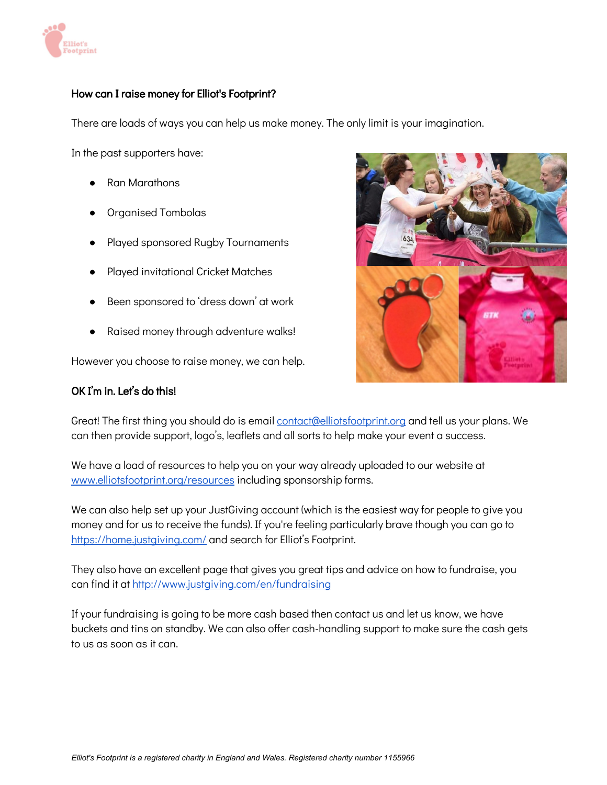

## How can I raise money for Elliot's Footprint?

There are loads of ways you can help us make money. The only limit is your imagination.

In the past supporters have:

- Ran Marathons
- Organised Tombolas
- Played sponsored Rugby Tournaments
- Played invitational Cricket Matches
- Been sponsored to 'dress down' at work
- Raised money through adventure walks!

However you choose to raise money, we can help.

#### OK I'm in. Let's do this!



Great! The first thing you should do is email [contact@elliotsfootprint.org](mailto:contact@elliotsfootprint.org) and tell us your plans. We can then provide support, logo's, leaflets and all sorts to help make your event a success.

We have a load of resources to help you on your way already uploaded to our website at [www.elliotsfootprint.org/resources](http://www.elliotsfootprint.org/resources) including sponsorship forms.

We can also help set up your JustGiving account (which is the easiest way for people to give you money and for us to receive the funds). If you're feeling particularly brave though you can go to <https://home.justgiving.com/> and search for Elliot's Footprint.

They also have an excellent page that gives you great tips and advice on how to fundraise, you can find it at <http://www.justgiving.com/en/fundraising>

If your fundraising is going to be more cash based then contact us and let us know, we have buckets and tins on standby. We can also offer cash-handling support to make sure the cash gets to us as soon as it can.